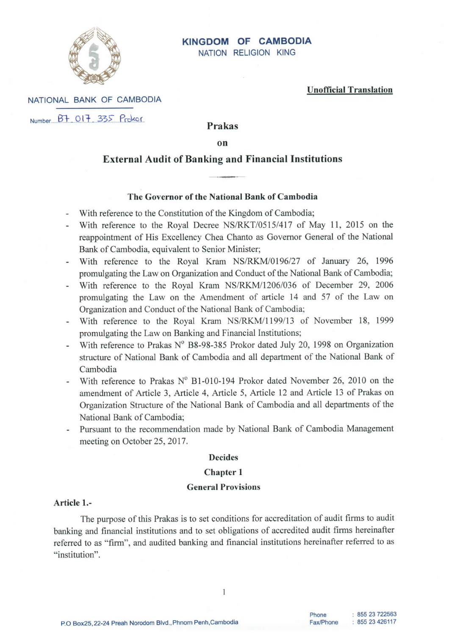

# KINGDOM OF CAMBODIA NATION RELIGION KING

**Unofficial Translation** 

NATIONAL BANK OF CAMBODIA Number B7 017 335 Protor

Prakas

 $\mathbf{on}$ 

# **External Audit of Banking and Financial Institutions**

#### The Governor of the National Bank of Cambodia

- With reference to the Constitution of the Kingdom of Cambodia;
- With reference to the Royal Decree NS/RKT/0515/417 of May 11, 2015 on the  $\sim$ reappointment of His Excellency Chea Chanto as Governor General of the National Bank of Cambodia, equivalent to Senior Minister;
- With reference to the Royal Kram NS/RKM/0196/27 of January 26, 1996 promulgating the Law on Organization and Conduct of the National Bank of Cambodia;
- With reference to the Royal Kram NS/RKM/1206/036 of December 29, 2006 promulgating the Law on the Amendment of article 14 and 57 of the Law on Organization and Conduct of the National Bank of Cambodia;
- With reference to the Royal Kram NS/RKM/1199/13 of November 18, 1999 promulgating the Law on Banking and Financial Institutions;
- With reference to Prakas Nº B8-98-385 Prokor dated July 20, 1998 on Organization structure of National Bank of Cambodia and all department of the National Bank of Cambodia
- With reference to Prakas Nº B1-010-194 Prokor dated November 26, 2010 on the amendment of Article 3, Article 4, Article 5, Article 12 and Article 13 of Prakas on Organization Structure of the National Bank of Cambodia and all departments of the National Bank of Cambodia;
- Pursuant to the recommendation made by National Bank of Cambodia Management meeting on October 25, 2017.

### **Decides**

### Chapter 1

### **General Provisions**

### Article 1.-

The purpose of this Prakas is to set conditions for accreditation of audit firms to audit banking and financial institutions and to set obligations of accredited audit firms hereinafter referred to as "firm", and audited banking and financial institutions hereinafter referred to as "institution".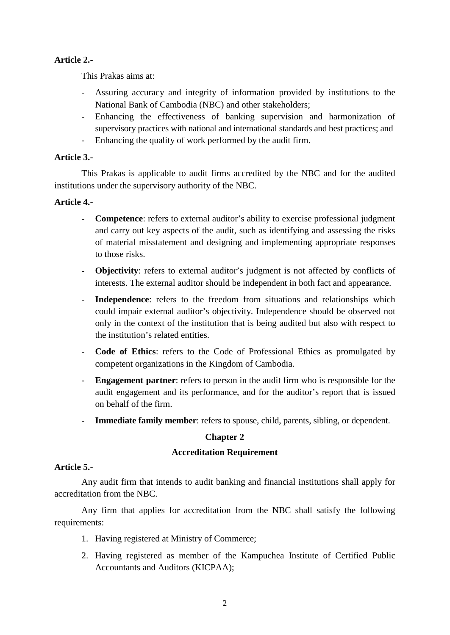# **Article 2.-**

This Prakas aims at:

- Assuring accuracy and integrity of information provided by institutions to the National Bank of Cambodia (NBC) and other stakeholders;
- Enhancing the effectiveness of banking supervision and harmonization of supervisory practices with national and international standards and best practices; and
- Enhancing the quality of work performed by the audit firm.

# **Article 3.-**

This Prakas is applicable to audit firms accredited by the NBC and for the audited institutions under the supervisory authority of the NBC.

# **Article 4.-**

- **Competence**: refers to external auditor's ability to exercise professional judgment and carry out key aspects of the audit, such as identifying and assessing the risks of material misstatement and designing and implementing appropriate responses to those risks.
- **- Objectivity**: refers to external auditor's judgment is not affected by conflicts of interests. The external auditor should be independent in both fact and appearance.
- **- Independence**: refers to the freedom from situations and relationships which could impair external auditor's objectivity. Independence should be observed not only in the context of the institution that is being audited but also with respect to the institution's related entities.
- **- Code of Ethics**: refers to the Code of Professional Ethics as promulgated by competent organizations in the Kingdom of Cambodia.
- **- Engagement partner**: refers to person in the audit firm who is responsible for the audit engagement and its performance, and for the auditor's report that is issued on behalf of the firm.
- **- Immediate family member**: refers to spouse, child, parents, sibling, or dependent.

# **Chapter 2**

# **Accreditation Requirement**

# **Article 5.-**

Any audit firm that intends to audit banking and financial institutions shall apply for accreditation from the NBC.

Any firm that applies for accreditation from the NBC shall satisfy the following requirements:

- 1. Having registered at Ministry of Commerce;
- 2. Having registered as member of the Kampuchea Institute of Certified Public Accountants and Auditors (KICPAA);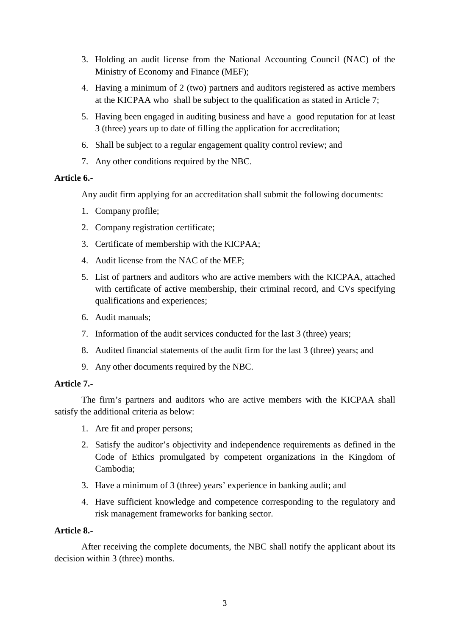- 3. Holding an audit license from the National Accounting Council (NAC) of the Ministry of Economy and Finance (MEF);
- 4. Having a minimum of 2 (two) partners and auditors registered as active members at the KICPAA who shall be subject to the qualification as stated in Article 7;
- 5. Having been engaged in auditing business and have a good reputation for at least 3 (three) years up to date of filling the application for accreditation;
- 6. Shall be subject to a regular engagement quality control review; and
- 7. Any other conditions required by the NBC.

## **Article 6.-**

Any audit firm applying for an accreditation shall submit the following documents:

- 1. Company profile;
- 2. Company registration certificate;
- 3. Certificate of membership with the KICPAA;
- 4. Audit license from the NAC of the MEF;
- 5. List of partners and auditors who are active members with the KICPAA, attached with certificate of active membership, their criminal record, and CVs specifying qualifications and experiences;
- 6. Audit manuals;
- 7. Information of the audit services conducted for the last 3 (three) years;
- 8. Audited financial statements of the audit firm for the last 3 (three) years; and
- 9. Any other documents required by the NBC.

## **Article 7.-**

The firm's partners and auditors who are active members with the KICPAA shall satisfy the additional criteria as below:

- 1. Are fit and proper persons;
- 2. Satisfy the auditor's objectivity and independence requirements as defined in the Code of Ethics promulgated by competent organizations in the Kingdom of Cambodia;
- 3. Have a minimum of 3 (three) years' experience in banking audit; and
- 4. Have sufficient knowledge and competence corresponding to the regulatory and risk management frameworks for banking sector.

## **Article 8.-**

After receiving the complete documents, the NBC shall notify the applicant about its decision within 3 (three) months.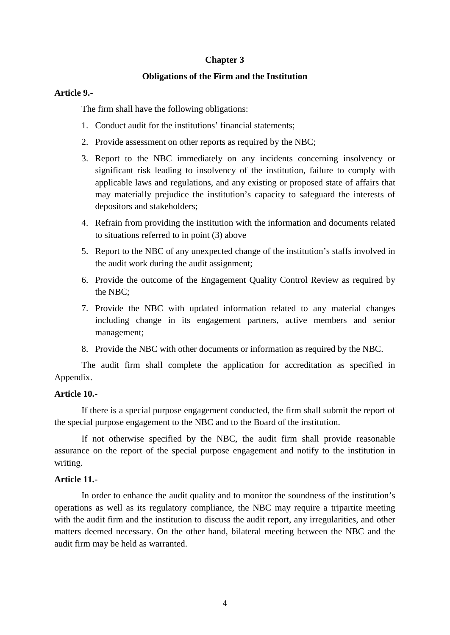## **Chapter 3**

# **Obligations of the Firm and the Institution**

### **Article 9.-**

The firm shall have the following obligations:

- 1. Conduct audit for the institutions' financial statements;
- 2. Provide assessment on other reports as required by the NBC;
- 3. Report to the NBC immediately on any incidents concerning insolvency or significant risk leading to insolvency of the institution, failure to comply with applicable laws and regulations, and any existing or proposed state of affairs that may materially prejudice the institution's capacity to safeguard the interests of depositors and stakeholders;
- 4. Refrain from providing the institution with the information and documents related to situations referred to in point (3) above
- 5. Report to the NBC of any unexpected change of the institution's staffs involved in the audit work during the audit assignment;
- 6. Provide the outcome of the Engagement Quality Control Review as required by the NBC;
- 7. Provide the NBC with updated information related to any material changes including change in its engagement partners, active members and senior management;
- 8. Provide the NBC with other documents or information as required by the NBC.

The audit firm shall complete the application for accreditation as specified in Appendix.

### **Article 10.-**

If there is a special purpose engagement conducted, the firm shall submit the report of the special purpose engagement to the NBC and to the Board of the institution.

If not otherwise specified by the NBC, the audit firm shall provide reasonable assurance on the report of the special purpose engagement and notify to the institution in writing.

## **Article 11.-**

In order to enhance the audit quality and to monitor the soundness of the institution's operations as well as its regulatory compliance, the NBC may require a tripartite meeting with the audit firm and the institution to discuss the audit report, any irregularities, and other matters deemed necessary. On the other hand, bilateral meeting between the NBC and the audit firm may be held as warranted.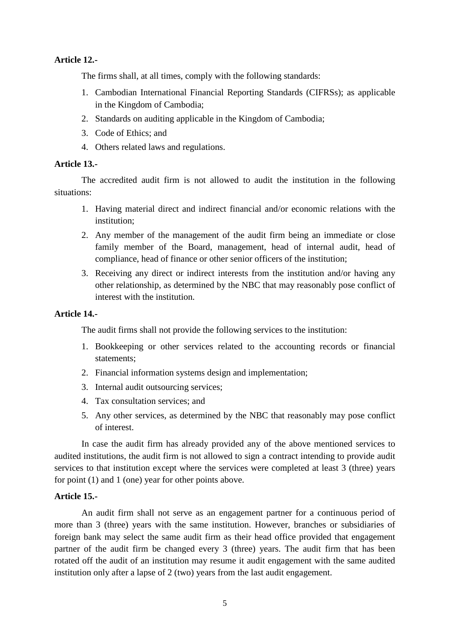# **Article 12.-**

The firms shall, at all times, comply with the following standards:

- 1. Cambodian International Financial Reporting Standards (CIFRSs); as applicable in the Kingdom of Cambodia;
- 2. Standards on auditing applicable in the Kingdom of Cambodia;
- 3. Code of Ethics; and
- 4. Others related laws and regulations.

# **Article 13.-**

The accredited audit firm is not allowed to audit the institution in the following situations:

- 1. Having material direct and indirect financial and/or economic relations with the institution;
- 2. Any member of the management of the audit firm being an immediate or close family member of the Board, management, head of internal audit, head of compliance, head of finance or other senior officers of the institution;
- 3. Receiving any direct or indirect interests from the institution and/or having any other relationship, as determined by the NBC that may reasonably pose conflict of interest with the institution.

# **Article 14.-**

The audit firms shall not provide the following services to the institution:

- 1. Bookkeeping or other services related to the accounting records or financial statements;
- 2. Financial information systems design and implementation;
- 3. Internal audit outsourcing services;
- 4. Tax consultation services; and
- 5. Any other services, as determined by the NBC that reasonably may pose conflict of interest.

In case the audit firm has already provided any of the above mentioned services to audited institutions, the audit firm is not allowed to sign a contract intending to provide audit services to that institution except where the services were completed at least 3 (three) years for point (1) and 1 (one) year for other points above.

# **Article 15.-**

An audit firm shall not serve as an engagement partner for a continuous period of more than 3 (three) years with the same institution. However, branches or subsidiaries of foreign bank may select the same audit firm as their head office provided that engagement partner of the audit firm be changed every 3 (three) years. The audit firm that has been rotated off the audit of an institution may resume it audit engagement with the same audited institution only after a lapse of 2 (two) years from the last audit engagement.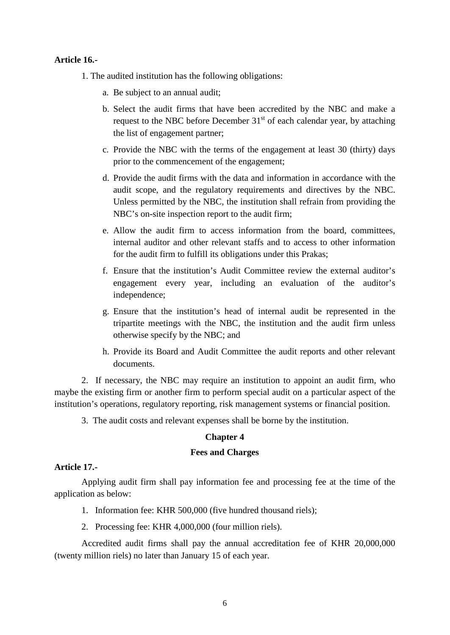### **Article 16.-**

1. The audited institution has the following obligations:

- a. Be subject to an annual audit;
- b. Select the audit firms that have been accredited by the NBC and make a request to the NBC before December  $31<sup>st</sup>$  of each calendar year, by attaching the list of engagement partner;
- c. Provide the NBC with the terms of the engagement at least 30 (thirty) days prior to the commencement of the engagement;
- d. Provide the audit firms with the data and information in accordance with the audit scope, and the regulatory requirements and directives by the NBC. Unless permitted by the NBC, the institution shall refrain from providing the NBC's on-site inspection report to the audit firm;
- e. Allow the audit firm to access information from the board, committees, internal auditor and other relevant staffs and to access to other information for the audit firm to fulfill its obligations under this Prakas;
- f. Ensure that the institution's Audit Committee review the external auditor's engagement every year, including an evaluation of the auditor's independence;
- g. Ensure that the institution's head of internal audit be represented in the tripartite meetings with the NBC, the institution and the audit firm unless otherwise specify by the NBC; and
- h. Provide its Board and Audit Committee the audit reports and other relevant documents.

2. If necessary, the NBC may require an institution to appoint an audit firm, who maybe the existing firm or another firm to perform special audit on a particular aspect of the institution's operations, regulatory reporting, risk management systems or financial position.

3. The audit costs and relevant expenses shall be borne by the institution.

### **Chapter 4**

### **Fees and Charges**

## **Article 17.-**

Applying audit firm shall pay information fee and processing fee at the time of the application as below:

- 1. Information fee: KHR 500,000 (five hundred thousand riels);
- 2. Processing fee: KHR 4,000,000 (four million riels).

Accredited audit firms shall pay the annual accreditation fee of KHR 20,000,000 (twenty million riels) no later than January 15 of each year.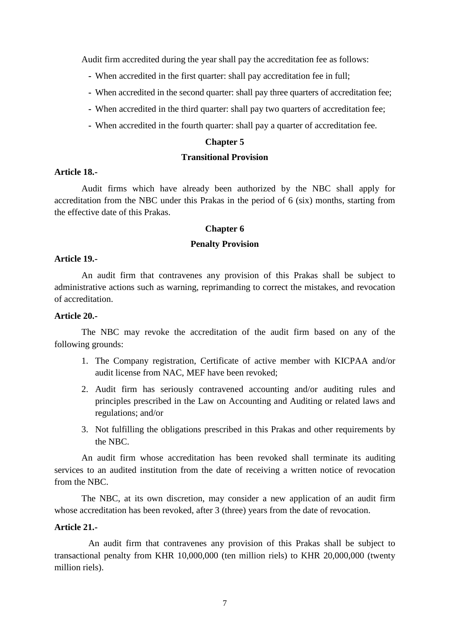Audit firm accredited during the year shall pay the accreditation fee as follows:

- **-** When accredited in the first quarter: shall pay accreditation fee in full;
- **-** When accredited in the second quarter: shall pay three quarters of accreditation fee;
- **-** When accredited in the third quarter: shall pay two quarters of accreditation fee;
- **-** When accredited in the fourth quarter: shall pay a quarter of accreditation fee.

### **Chapter 5**

# **Transitional Provision**

## **Article 18.-**

Audit firms which have already been authorized by the NBC shall apply for accreditation from the NBC under this Prakas in the period of 6 (six) months, starting from the effective date of this Prakas.

#### **Chapter 6**

### **Penalty Provision**

### **Article 19.-**

An audit firm that contravenes any provision of this Prakas shall be subject to administrative actions such as warning, reprimanding to correct the mistakes, and revocation of accreditation.

#### **Article 20.-**

The NBC may revoke the accreditation of the audit firm based on any of the following grounds:

- 1. The Company registration, Certificate of active member with KICPAA and/or audit license from NAC, MEF have been revoked;
- 2. Audit firm has seriously contravened accounting and/or auditing rules and principles prescribed in the Law on Accounting and Auditing or related laws and regulations; and/or
- 3. Not fulfilling the obligations prescribed in this Prakas and other requirements by the NBC.

An audit firm whose accreditation has been revoked shall terminate its auditing services to an audited institution from the date of receiving a written notice of revocation from the NBC.

The NBC, at its own discretion, may consider a new application of an audit firm whose accreditation has been revoked, after 3 (three) years from the date of revocation.

### **Article 21.-**

An audit firm that contravenes any provision of this Prakas shall be subject to transactional penalty from KHR 10,000,000 (ten million riels) to KHR 20,000,000 (twenty million riels).